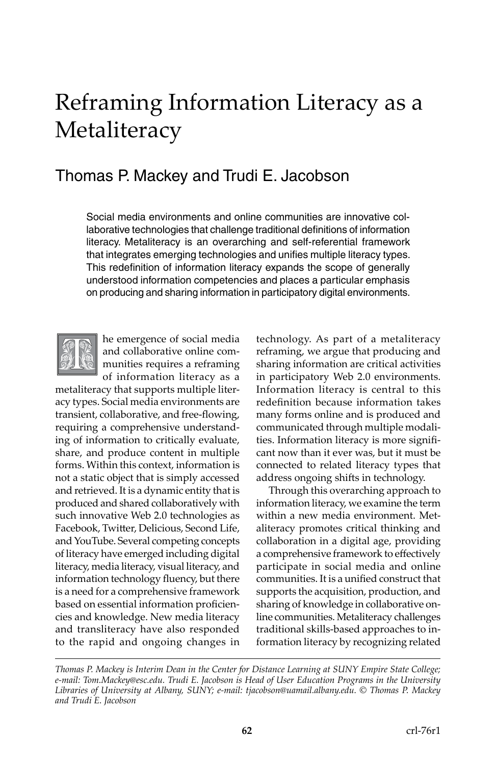# Reframing Information Literacy as a **Metaliteracy**

# Thomas P. Mackey and Trudi E. Jacobson

Social media environments and online communities are innovative collaborative technologies that challenge traditional definitions of information literacy. Metaliteracy is an overarching and self-referential framework that integrates emerging technologies and unifies multiple literacy types. This redefinition of information literacy expands the scope of generally understood information competencies and places a particular emphasis on producing and sharing information in participatory digital environments.



he emergence of social media and collaborative online communities requires a reframing of information literacy as a

metaliteracy that supports multiple literacy types. Social media environments are transient, collaborative, and free-flowing, requiring a comprehensive understanding of information to critically evaluate, share, and produce content in multiple forms. Within this context, information is not a static object that is simply accessed and retrieved. It is a dynamic entity that is produced and shared collaboratively with such innovative Web 2.0 technologies as Facebook, Twitter, Delicious, Second Life, and YouTube. Several competing concepts of literacy have emerged including digital literacy, media literacy, visual literacy, and information technology fluency, but there is a need for a comprehensive framework based on essential information proficiencies and knowledge. New media literacy and transliteracy have also responded to the rapid and ongoing changes in technology. As part of a metaliteracy reframing, we argue that producing and sharing information are critical activities in participatory Web 2.0 environments. Information literacy is central to this redefinition because information takes many forms online and is produced and communicated through multiple modalities. Information literacy is more significant now than it ever was, but it must be connected to related literacy types that address ongoing shifts in technology.

Through this overarching approach to information literacy, we examine the term within a new media environment. Metaliteracy promotes critical thinking and collaboration in a digital age, providing a comprehensive framework to effectively participate in social media and online communities. It is a unified construct that supports the acquisition, production, and sharing of knowledge in collaborative online communities. Metaliteracy challenges traditional skills-based approaches to information literacy by recognizing related

*Thomas P. Mackey is Interim Dean in the Center for Distance Learning at SUNY Empire State College; e-mail: Tom.Mackey@esc.edu. Trudi E. Jacobson is Head of User Education Programs in the University Libraries of University at Albany, SUNY; e-mail: tjacobson@uamail.albany.edu. © Thomas P. Mackey and Trudi E. Jacobson*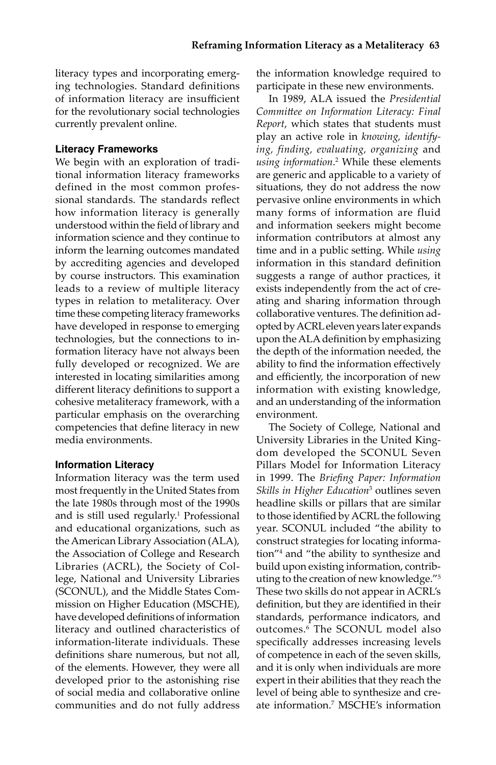literacy types and incorporating emerging technologies. Standard definitions of information literacy are insufficient for the revolutionary social technologies currently prevalent online.

# **Literacy Frameworks**

We begin with an exploration of traditional information literacy frameworks defined in the most common professional standards. The standards reflect how information literacy is generally understood within the field of library and information science and they continue to inform the learning outcomes mandated by accrediting agencies and developed by course instructors. This examination leads to a review of multiple literacy types in relation to metaliteracy. Over time these competing literacy frameworks have developed in response to emerging technologies, but the connections to information literacy have not always been fully developed or recognized. We are interested in locating similarities among different literacy definitions to support a cohesive metaliteracy framework, with a particular emphasis on the overarching competencies that define literacy in new media environments.

# **Information Literacy**

Information literacy was the term used most frequently in the United States from the late 1980s through most of the 1990s and is still used regularly.1 Professional and educational organizations, such as the American Library Association (ALA), the Association of College and Research Libraries (ACRL), the Society of College, National and University Libraries (SCONUL), and the Middle States Commission on Higher Education (MSCHE), have developed definitions of information literacy and outlined characteristics of information-literate individuals. These definitions share numerous, but not all, of the elements. However, they were all developed prior to the astonishing rise of social media and collaborative online communities and do not fully address

the information knowledge required to participate in these new environments.

In 1989, ALA issued the *Presidential Committee on Information Literacy: Final Report*, which states that students must play an active role in *knowing, identifying, finding, evaluating, organizing* and *using information*. 2 While these elements are generic and applicable to a variety of situations, they do not address the now pervasive online environments in which many forms of information are fluid and information seekers might become information contributors at almost any time and in a public setting. While *using* information in this standard definition suggests a range of author practices, it exists independently from the act of creating and sharing information through collaborative ventures. The definition adopted by ACRL eleven years later expands upon the ALA definition by emphasizing the depth of the information needed, the ability to find the information effectively and efficiently, the incorporation of new information with existing knowledge, and an understanding of the information environment.

The Society of College, National and University Libraries in the United Kingdom developed the SCONUL Seven Pillars Model for Information Literacy in 1999. The *Briefing Paper: Information Skills in Higher Education*<sup>3</sup> outlines seven headline skills or pillars that are similar to those identified by ACRL the following year. SCONUL included "the ability to construct strategies for locating information"4 and "the ability to synthesize and build upon existing information, contributing to the creation of new knowledge."5 These two skills do not appear in ACRL's definition, but they are identified in their standards, performance indicators, and outcomes.6 The SCONUL model also specifically addresses increasing levels of competence in each of the seven skills, and it is only when individuals are more expert in their abilities that they reach the level of being able to synthesize and create information.7 MSCHE's information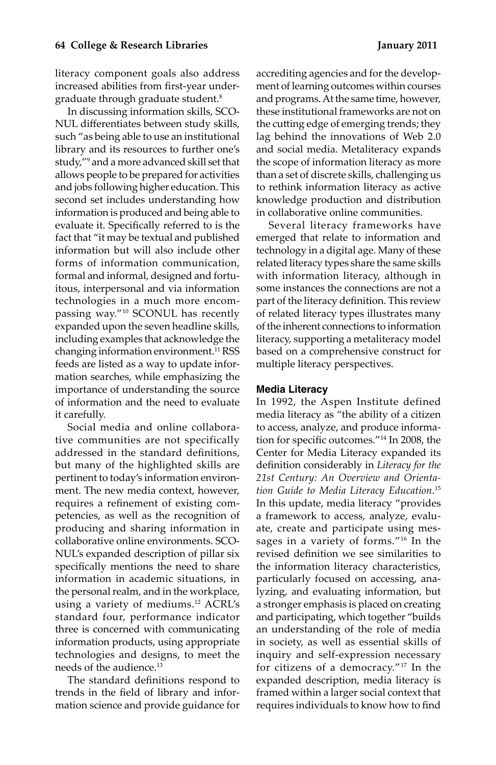literacy component goals also address increased abilities from first-year undergraduate through graduate student.8

In discussing information skills, SCO-NUL differentiates between study skills, such "as being able to use an institutional library and its resources to further one's study,"9 and a more advanced skill set that allows people to be prepared for activities and jobs following higher education. This second set includes understanding how information is produced and being able to evaluate it. Specifically referred to is the fact that "it may be textual and published information but will also include other forms of information communication, formal and informal, designed and fortuitous, interpersonal and via information technologies in a much more encompassing way."10 SCONUL has recently expanded upon the seven headline skills, including examples that acknowledge the changing information environment.<sup>11</sup> RSS feeds are listed as a way to update information searches, while emphasizing the importance of understanding the source of information and the need to evaluate it carefully.

Social media and online collaborative communities are not specifically addressed in the standard definitions, but many of the highlighted skills are pertinent to today's information environment. The new media context, however, requires a refinement of existing competencies, as well as the recognition of producing and sharing information in collaborative online environments. SCO-NUL's expanded description of pillar six specifically mentions the need to share information in academic situations, in the personal realm, and in the workplace, using a variety of mediums.12 ACRL's standard four, performance indicator three is concerned with communicating information products, using appropriate technologies and designs, to meet the needs of the audience.<sup>13</sup>

The standard definitions respond to trends in the field of library and information science and provide guidance for accrediting agencies and for the development of learning outcomes within courses and programs. At the same time, however, these institutional frameworks are not on the cutting edge of emerging trends; they lag behind the innovations of Web 2.0 and social media. Metaliteracy expands the scope of information literacy as more than a set of discrete skills, challenging us to rethink information literacy as active knowledge production and distribution in collaborative online communities.

Several literacy frameworks have emerged that relate to information and technology in a digital age. Many of these related literacy types share the same skills with information literacy, although in some instances the connections are not a part of the literacy definition. This review of related literacy types illustrates many of the inherent connections to information literacy, supporting a metaliteracy model based on a comprehensive construct for multiple literacy perspectives.

#### **Media Literacy**

In 1992, the Aspen Institute defined media literacy as "the ability of a citizen to access, analyze, and produce information for specific outcomes."14 In 2008, the Center for Media Literacy expanded its definition considerably in *Literacy for the 21st Century: An Overview and Orientation Guide to Media Literacy Education*. 15 In this update, media literacy "provides a framework to access, analyze, evaluate, create and participate using messages in a variety of forms."<sup>16</sup> In the revised definition we see similarities to the information literacy characteristics, particularly focused on accessing, analyzing, and evaluating information, but a stronger emphasis is placed on creating and participating, which together "builds an understanding of the role of media in society, as well as essential skills of inquiry and self-expression necessary for citizens of a democracy."17 In the expanded description, media literacy is framed within a larger social context that requires individuals to know how to find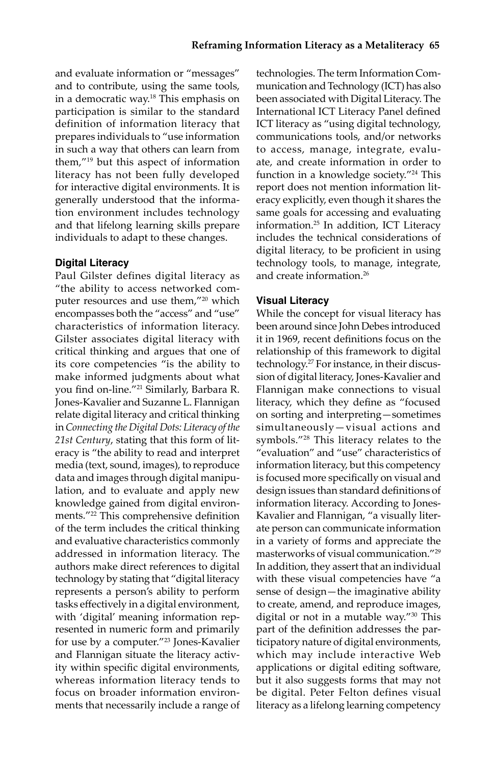and evaluate information or "messages" and to contribute, using the same tools, in a democratic way.18 This emphasis on participation is similar to the standard definition of information literacy that prepares individuals to "use information in such a way that others can learn from them,"19 but this aspect of information literacy has not been fully developed for interactive digital environments. It is generally understood that the information environment includes technology and that lifelong learning skills prepare individuals to adapt to these changes.

# **Digital Literacy**

Paul Gilster defines digital literacy as "the ability to access networked computer resources and use them,"20 which encompasses both the "access" and "use" characteristics of information literacy. Gilster associates digital literacy with critical thinking and argues that one of its core competencies "is the ability to make informed judgments about what you find on-line."21 Similarly, Barbara R. Jones-Kavalier and Suzanne L. Flannigan relate digital literacy and critical thinking in *Connecting the Digital Dots: Literacy of the 21st Century*, stating that this form of literacy is "the ability to read and interpret media (text, sound, images), to reproduce data and images through digital manipulation, and to evaluate and apply new knowledge gained from digital environments."22 This comprehensive definition of the term includes the critical thinking and evaluative characteristics commonly addressed in information literacy. The authors make direct references to digital technology by stating that "digital literacy represents a person's ability to perform tasks effectively in a digital environment, with 'digital' meaning information represented in numeric form and primarily for use by a computer."23 Jones-Kavalier and Flannigan situate the literacy activity within specific digital environments, whereas information literacy tends to focus on broader information environments that necessarily include a range of technologies. The term Information Communication and Technology (ICT) has also been associated with Digital Literacy. The International ICT Literacy Panel defined ICT literacy as "using digital technology, communications tools, and/or networks to access, manage, integrate, evaluate, and create information in order to function in a knowledge society."24 This report does not mention information literacy explicitly, even though it shares the same goals for accessing and evaluating information.25 In addition, ICT Literacy includes the technical considerations of digital literacy, to be proficient in using technology tools, to manage, integrate, and create information.26

# **Visual Literacy**

While the concept for visual literacy has been around since John Debes introduced it in 1969, recent definitions focus on the relationship of this framework to digital technology.27 For instance, in their discussion of digital literacy, Jones-Kavalier and Flannigan make connections to visual literacy, which they define as "focused on sorting and interpreting—sometimes simultaneously—visual actions and symbols."28 This literacy relates to the "evaluation" and "use" characteristics of information literacy, but this competency is focused more specifically on visual and design issues than standard definitions of information literacy. According to Jones-Kavalier and Flannigan, "a visually literate person can communicate information in a variety of forms and appreciate the masterworks of visual communication."29 In addition, they assert that an individual with these visual competencies have "a sense of design—the imaginative ability to create, amend, and reproduce images, digital or not in a mutable way."30 This part of the definition addresses the participatory nature of digital environments, which may include interactive Web applications or digital editing software, but it also suggests forms that may not be digital. Peter Felton defines visual literacy as a lifelong learning competency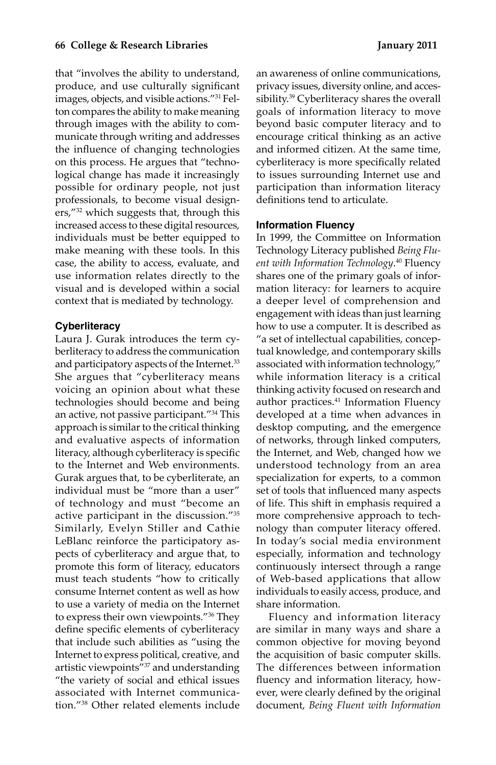that "involves the ability to understand, produce, and use culturally significant images, objects, and visible actions."31 Felton compares the ability to make meaning through images with the ability to communicate through writing and addresses the influence of changing technologies on this process. He argues that "technological change has made it increasingly possible for ordinary people, not just professionals, to become visual designers,"32 which suggests that, through this increased access to these digital resources, individuals must be better equipped to make meaning with these tools. In this case, the ability to access, evaluate, and use information relates directly to the visual and is developed within a social context that is mediated by technology.

#### **Cyberliteracy**

Laura J. Gurak introduces the term cyberliteracy to address the communication and participatory aspects of the Internet.<sup>33</sup> She argues that "cyberliteracy means voicing an opinion about what these technologies should become and being an active, not passive participant."34 This approach is similar to the critical thinking and evaluative aspects of information literacy, although cyberliteracy is specific to the Internet and Web environments. Gurak argues that, to be cyberliterate, an individual must be "more than a user" of technology and must "become an active participant in the discussion."35 Similarly, Evelyn Stiller and Cathie LeBlanc reinforce the participatory aspects of cyberliteracy and argue that, to promote this form of literacy, educators must teach students "how to critically consume Internet content as well as how to use a variety of media on the Internet to express their own viewpoints."36 They define specific elements of cyberliteracy that include such abilities as "using the Internet to express political, creative, and artistic viewpoints"37 and understanding "the variety of social and ethical issues associated with Internet communication."38 Other related elements include

an awareness of online communications, privacy issues, diversity online, and accessibility.<sup>39</sup> Cyberliteracy shares the overall goals of information literacy to move beyond basic computer literacy and to encourage critical thinking as an active and informed citizen. At the same time, cyberliteracy is more specifically related to issues surrounding Internet use and participation than information literacy definitions tend to articulate.

#### **Information Fluency**

In 1999, the Committee on Information Technology Literacy published *Being Fluent with Information Technology*. 40 Fluency shares one of the primary goals of information literacy: for learners to acquire a deeper level of comprehension and engagement with ideas than just learning how to use a computer. It is described as "a set of intellectual capabilities, conceptual knowledge, and contemporary skills associated with information technology," while information literacy is a critical thinking activity focused on research and author practices.<sup>41</sup> Information Fluency developed at a time when advances in desktop computing, and the emergence of networks, through linked computers, the Internet, and Web, changed how we understood technology from an area specialization for experts, to a common set of tools that influenced many aspects of life. This shift in emphasis required a more comprehensive approach to technology than computer literacy offered. In today's social media environment especially, information and technology continuously intersect through a range of Web-based applications that allow individuals to easily access, produce, and share information.

Fluency and information literacy are similar in many ways and share a common objective for moving beyond the acquisition of basic computer skills. The differences between information fluency and information literacy, however, were clearly defined by the original document, *Being Fluent with Information*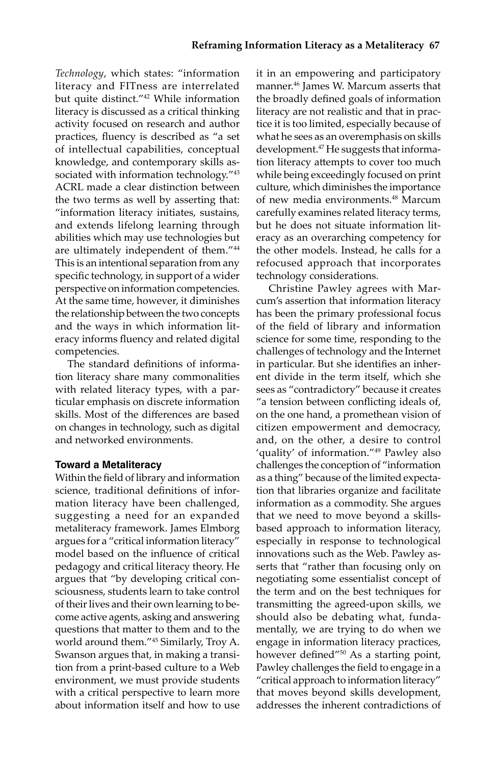*Technology*, which states: "information literacy and FITness are interrelated but quite distinct."42 While information literacy is discussed as a critical thinking activity focused on research and author practices, fluency is described as "a set of intellectual capabilities, conceptual knowledge, and contemporary skills associated with information technology."<sup>43</sup> ACRL made a clear distinction between the two terms as well by asserting that: "information literacy initiates, sustains, and extends lifelong learning through abilities which may use technologies but are ultimately independent of them."44 This is an intentional separation from any specific technology, in support of a wider perspective on information competencies. At the same time, however, it diminishes the relationship between the two concepts and the ways in which information literacy informs fluency and related digital competencies.

The standard definitions of information literacy share many commonalities with related literacy types, with a particular emphasis on discrete information skills. Most of the differences are based on changes in technology, such as digital and networked environments.

# **Toward a Metaliteracy**

Within the field of library and information science, traditional definitions of information literacy have been challenged, suggesting a need for an expanded metaliteracy framework. James Elmborg argues for a "critical information literacy" model based on the influence of critical pedagogy and critical literacy theory. He argues that "by developing critical consciousness, students learn to take control of their lives and their own learning to become active agents, asking and answering questions that matter to them and to the world around them."45 Similarly, Troy A. Swanson argues that, in making a transition from a print-based culture to a Web environment, we must provide students with a critical perspective to learn more about information itself and how to use

it in an empowering and participatory manner.46 James W. Marcum asserts that the broadly defined goals of information literacy are not realistic and that in practice it is too limited, especially because of what he sees as an overemphasis on skills development.47 He suggests that information literacy attempts to cover too much while being exceedingly focused on print culture, which diminishes the importance of new media environments.<sup>48</sup> Marcum carefully examines related literacy terms, but he does not situate information literacy as an overarching competency for the other models. Instead, he calls for a refocused approach that incorporates technology considerations.

Christine Pawley agrees with Marcum's assertion that information literacy has been the primary professional focus of the field of library and information science for some time, responding to the challenges of technology and the Internet in particular. But she identifies an inherent divide in the term itself, which she sees as "contradictory" because it creates "a tension between conflicting ideals of, on the one hand, a promethean vision of citizen empowerment and democracy, and, on the other, a desire to control 'quality' of information."49 Pawley also challenges the conception of "information as a thing" because of the limited expectation that libraries organize and facilitate information as a commodity. She argues that we need to move beyond a skillsbased approach to information literacy, especially in response to technological innovations such as the Web. Pawley asserts that "rather than focusing only on negotiating some essentialist concept of the term and on the best techniques for transmitting the agreed-upon skills, we should also be debating what, fundamentally, we are trying to do when we engage in information literacy practices, however defined"<sup>50</sup> As a starting point, Pawley challenges the field to engage in a "critical approach to information literacy" that moves beyond skills development, addresses the inherent contradictions of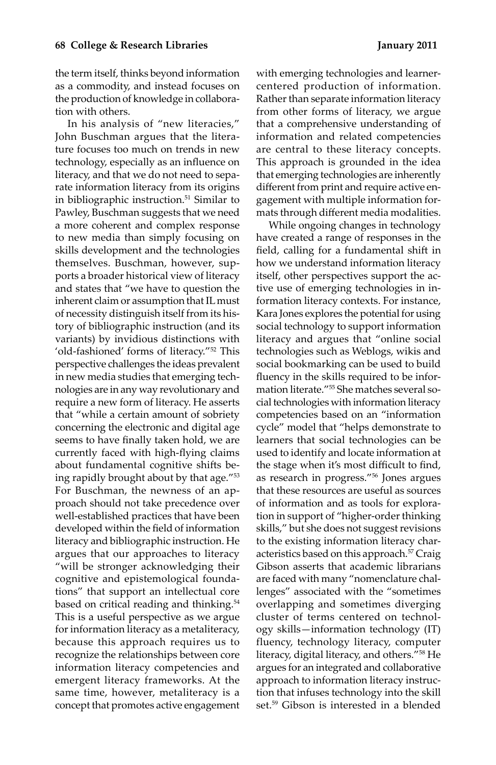the term itself, thinks beyond information as a commodity, and instead focuses on the production of knowledge in collaboration with others.

In his analysis of "new literacies," John Buschman argues that the literature focuses too much on trends in new technology, especially as an influence on literacy, and that we do not need to separate information literacy from its origins in bibliographic instruction.<sup>51</sup> Similar to Pawley, Buschman suggests that we need a more coherent and complex response to new media than simply focusing on skills development and the technologies themselves. Buschman, however, supports a broader historical view of literacy and states that "we have to question the inherent claim or assumption that IL must of necessity distinguish itself from its history of bibliographic instruction (and its variants) by invidious distinctions with 'old-fashioned' forms of literacy."52 This perspective challenges the ideas prevalent in new media studies that emerging technologies are in any way revolutionary and require a new form of literacy. He asserts that "while a certain amount of sobriety concerning the electronic and digital age seems to have finally taken hold, we are currently faced with high-flying claims about fundamental cognitive shifts being rapidly brought about by that age."53 For Buschman, the newness of an approach should not take precedence over well-established practices that have been developed within the field of information literacy and bibliographic instruction. He argues that our approaches to literacy "will be stronger acknowledging their cognitive and epistemological foundations" that support an intellectual core based on critical reading and thinking.<sup>54</sup> This is a useful perspective as we argue for information literacy as a metaliteracy, because this approach requires us to recognize the relationships between core information literacy competencies and emergent literacy frameworks. At the same time, however, metaliteracy is a concept that promotes active engagement

with emerging technologies and learnercentered production of information. Rather than separate information literacy from other forms of literacy, we argue that a comprehensive understanding of information and related competencies are central to these literacy concepts. This approach is grounded in the idea that emerging technologies are inherently different from print and require active engagement with multiple information formats through different media modalities.

While ongoing changes in technology have created a range of responses in the field, calling for a fundamental shift in how we understand information literacy itself, other perspectives support the active use of emerging technologies in information literacy contexts. For instance, Kara Jones explores the potential for using social technology to support information literacy and argues that "online social technologies such as Weblogs, wikis and social bookmarking can be used to build fluency in the skills required to be information literate."55 She matches several social technologies with information literacy competencies based on an "information cycle" model that "helps demonstrate to learners that social technologies can be used to identify and locate information at the stage when it's most difficult to find, as research in progress."56 Jones argues that these resources are useful as sources of information and as tools for exploration in support of "higher-order thinking skills," but she does not suggest revisions to the existing information literacy characteristics based on this approach.<sup>57</sup> Craig Gibson asserts that academic librarians are faced with many "nomenclature challenges" associated with the "sometimes overlapping and sometimes diverging cluster of terms centered on technology skills—information technology (IT) fluency, technology literacy, computer literacy, digital literacy, and others."58 He argues for an integrated and collaborative approach to information literacy instruction that infuses technology into the skill set.59 Gibson is interested in a blended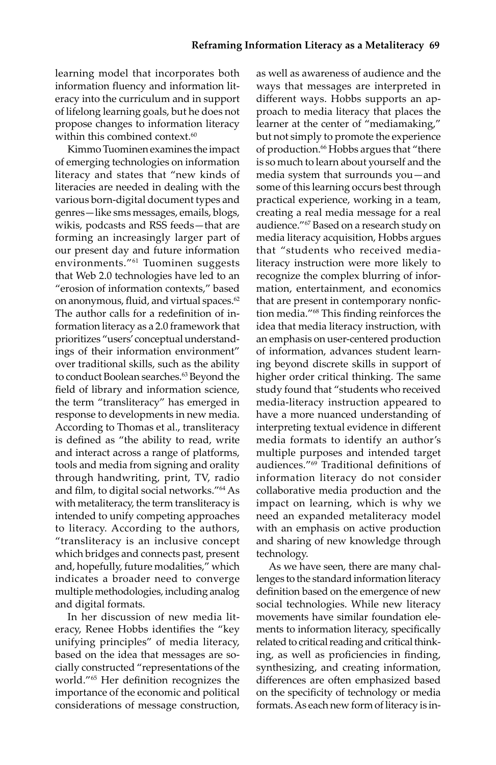learning model that incorporates both information fluency and information literacy into the curriculum and in support of lifelong learning goals, but he does not propose changes to information literacy within this combined context.<sup>60</sup>

Kimmo Tuominen examines the impact of emerging technologies on information literacy and states that "new kinds of literacies are needed in dealing with the various born-digital document types and genres—like sms messages, emails, blogs, wikis, podcasts and RSS feeds—that are forming an increasingly larger part of our present day and future information environments."61 Tuominen suggests that Web 2.0 technologies have led to an "erosion of information contexts," based on anonymous, fluid, and virtual spaces.<sup>62</sup> The author calls for a redefinition of information literacy as a 2.0 framework that prioritizes "users' conceptual understandings of their information environment" over traditional skills, such as the ability to conduct Boolean searches.<sup>63</sup> Beyond the field of library and information science, the term "transliteracy" has emerged in response to developments in new media. According to Thomas et al., transliteracy is defined as "the ability to read, write and interact across a range of platforms, tools and media from signing and orality through handwriting, print, TV, radio and film, to digital social networks."64 As with metaliteracy, the term transliteracy is intended to unify competing approaches to literacy. According to the authors, "transliteracy is an inclusive concept which bridges and connects past, present and, hopefully, future modalities," which indicates a broader need to converge multiple methodologies, including analog and digital formats.

In her discussion of new media literacy, Renee Hobbs identifies the "key unifying principles" of media literacy, based on the idea that messages are socially constructed "representations of the world."65 Her definition recognizes the importance of the economic and political considerations of message construction, as well as awareness of audience and the ways that messages are interpreted in different ways. Hobbs supports an approach to media literacy that places the learner at the center of "mediamaking," but not simply to promote the experience of production.<sup>66</sup> Hobbs argues that "there is so much to learn about yourself and the media system that surrounds you—and some of this learning occurs best through practical experience, working in a team, creating a real media message for a real audience."67 Based on a research study on media literacy acquisition, Hobbs argues that "students who received medialiteracy instruction were more likely to recognize the complex blurring of information, entertainment, and economics that are present in contemporary nonfiction media."68 This finding reinforces the idea that media literacy instruction, with an emphasis on user-centered production of information, advances student learning beyond discrete skills in support of higher order critical thinking. The same study found that "students who received media-literacy instruction appeared to have a more nuanced understanding of interpreting textual evidence in different media formats to identify an author's multiple purposes and intended target audiences."69 Traditional definitions of information literacy do not consider collaborative media production and the impact on learning, which is why we need an expanded metaliteracy model with an emphasis on active production and sharing of new knowledge through technology.

As we have seen, there are many challenges to the standard information literacy definition based on the emergence of new social technologies. While new literacy movements have similar foundation elements to information literacy, specifically related to critical reading and critical thinking, as well as proficiencies in finding, synthesizing, and creating information, differences are often emphasized based on the specificity of technology or media formats. As each new form of literacy is in-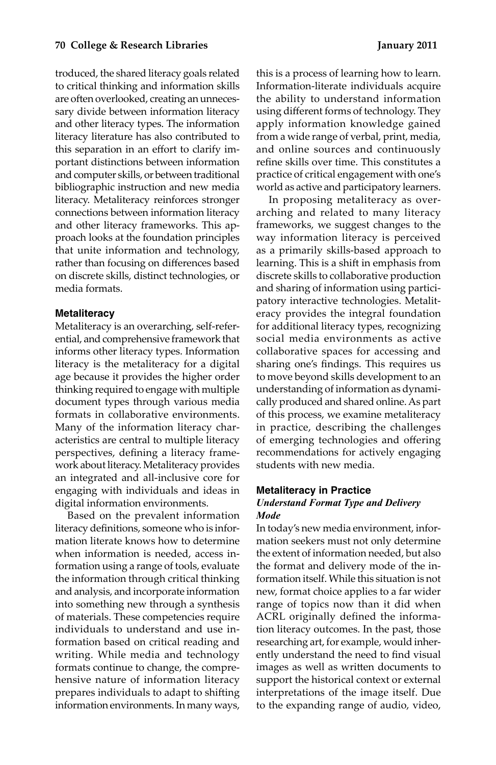troduced, the shared literacy goals related to critical thinking and information skills are often overlooked, creating an unnecessary divide between information literacy and other literacy types. The information literacy literature has also contributed to this separation in an effort to clarify important distinctions between information and computer skills, or between traditional bibliographic instruction and new media literacy. Metaliteracy reinforces stronger connections between information literacy and other literacy frameworks. This approach looks at the foundation principles that unite information and technology, rather than focusing on differences based on discrete skills, distinct technologies, or media formats.

#### **Metaliteracy**

Metaliteracy is an overarching, self-referential, and comprehensive framework that informs other literacy types. Information literacy is the metaliteracy for a digital age because it provides the higher order thinking required to engage with multiple document types through various media formats in collaborative environments. Many of the information literacy characteristics are central to multiple literacy perspectives, defining a literacy framework about literacy. Metaliteracy provides an integrated and all-inclusive core for engaging with individuals and ideas in digital information environments.

Based on the prevalent information literacy definitions, someone who is information literate knows how to determine when information is needed, access information using a range of tools, evaluate the information through critical thinking and analysis, and incorporate information into something new through a synthesis of materials. These competencies require individuals to understand and use information based on critical reading and writing. While media and technology formats continue to change, the comprehensive nature of information literacy prepares individuals to adapt to shifting information environments. In many ways,

this is a process of learning how to learn. Information-literate individuals acquire the ability to understand information using different forms of technology. They apply information knowledge gained from a wide range of verbal, print, media, and online sources and continuously refine skills over time. This constitutes a practice of critical engagement with one's world as active and participatory learners.

In proposing metaliteracy as overarching and related to many literacy frameworks, we suggest changes to the way information literacy is perceived as a primarily skills-based approach to learning. This is a shift in emphasis from discrete skills to collaborative production and sharing of information using participatory interactive technologies. Metaliteracy provides the integral foundation for additional literacy types, recognizing social media environments as active collaborative spaces for accessing and sharing one's findings. This requires us to move beyond skills development to an understanding of information as dynamically produced and shared online. As part of this process, we examine metaliteracy in practice, describing the challenges of emerging technologies and offering recommendations for actively engaging students with new media.

#### **Metaliteracy in Practice** *Understand Format Type and Delivery Mode*

In today's new media environment, information seekers must not only determine the extent of information needed, but also the format and delivery mode of the information itself. While this situation is not new, format choice applies to a far wider range of topics now than it did when ACRL originally defined the information literacy outcomes. In the past, those researching art, for example, would inherently understand the need to find visual images as well as written documents to support the historical context or external interpretations of the image itself. Due to the expanding range of audio, video,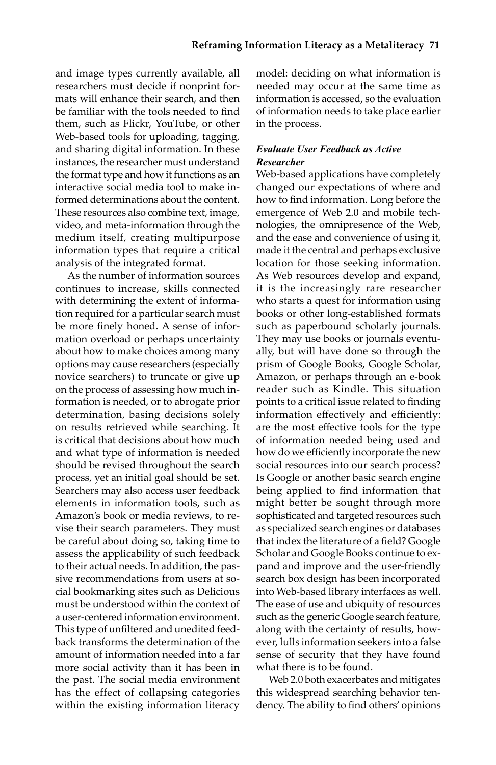and image types currently available, all researchers must decide if nonprint formats will enhance their search, and then be familiar with the tools needed to find them, such as Flickr, YouTube, or other Web-based tools for uploading, tagging, and sharing digital information. In these instances, the researcher must understand the format type and how it functions as an interactive social media tool to make informed determinations about the content. These resources also combine text, image, video, and meta-information through the medium itself, creating multipurpose information types that require a critical analysis of the integrated format.

As the number of information sources continues to increase, skills connected with determining the extent of information required for a particular search must be more finely honed. A sense of information overload or perhaps uncertainty about how to make choices among many options may cause researchers (especially novice searchers) to truncate or give up on the process of assessing how much information is needed, or to abrogate prior determination, basing decisions solely on results retrieved while searching. It is critical that decisions about how much and what type of information is needed should be revised throughout the search process, yet an initial goal should be set. Searchers may also access user feedback elements in information tools, such as Amazon's book or media reviews, to revise their search parameters. They must be careful about doing so, taking time to assess the applicability of such feedback to their actual needs. In addition, the passive recommendations from users at social bookmarking sites such as Delicious must be understood within the context of a user-centered information environment. This type of unfiltered and unedited feedback transforms the determination of the amount of information needed into a far more social activity than it has been in the past. The social media environment has the effect of collapsing categories within the existing information literacy

model: deciding on what information is needed may occur at the same time as information is accessed, so the evaluation of information needs to take place earlier in the process.

# *Evaluate User Feedback as Active Researcher*

Web-based applications have completely changed our expectations of where and how to find information. Long before the emergence of Web 2.0 and mobile technologies, the omnipresence of the Web, and the ease and convenience of using it, made it the central and perhaps exclusive location for those seeking information. As Web resources develop and expand, it is the increasingly rare researcher who starts a quest for information using books or other long-established formats such as paperbound scholarly journals. They may use books or journals eventually, but will have done so through the prism of Google Books, Google Scholar, Amazon, or perhaps through an e-book reader such as Kindle. This situation points to a critical issue related to finding information effectively and efficiently: are the most effective tools for the type of information needed being used and how do we efficiently incorporate the new social resources into our search process? Is Google or another basic search engine being applied to find information that might better be sought through more sophisticated and targeted resources such as specialized search engines or databases that index the literature of a field? Google Scholar and Google Books continue to expand and improve and the user-friendly search box design has been incorporated into Web-based library interfaces as well. The ease of use and ubiquity of resources such as the generic Google search feature, along with the certainty of results, however, lulls information seekers into a false sense of security that they have found what there is to be found.

Web 2.0 both exacerbates and mitigates this widespread searching behavior tendency. The ability to find others' opinions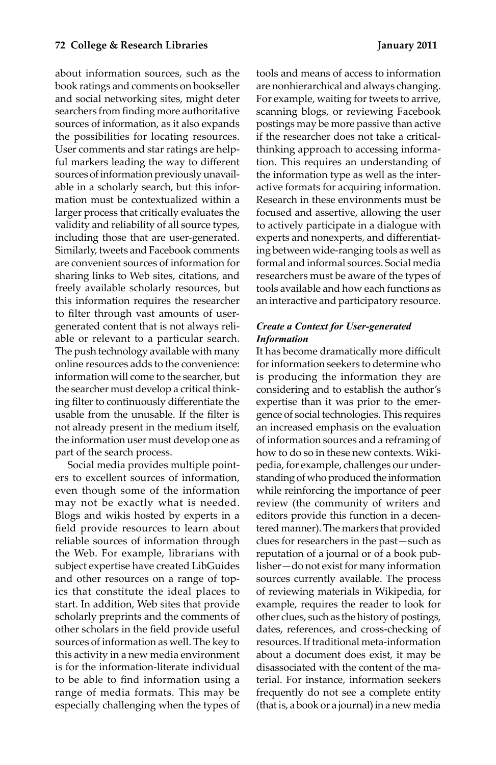about information sources, such as the book ratings and comments on bookseller and social networking sites, might deter searchers from finding more authoritative sources of information, as it also expands the possibilities for locating resources. User comments and star ratings are helpful markers leading the way to different sources of information previously unavailable in a scholarly search, but this information must be contextualized within a larger process that critically evaluates the validity and reliability of all source types, including those that are user-generated. Similarly, tweets and Facebook comments are convenient sources of information for sharing links to Web sites, citations, and freely available scholarly resources, but this information requires the researcher to filter through vast amounts of usergenerated content that is not always reliable or relevant to a particular search. The push technology available with many online resources adds to the convenience: information will come to the searcher, but the searcher must develop a critical thinking filter to continuously differentiate the usable from the unusable. If the filter is not already present in the medium itself, the information user must develop one as part of the search process.

Social media provides multiple pointers to excellent sources of information, even though some of the information may not be exactly what is needed. Blogs and wikis hosted by experts in a field provide resources to learn about reliable sources of information through the Web. For example, librarians with subject expertise have created LibGuides and other resources on a range of topics that constitute the ideal places to start. In addition, Web sites that provide scholarly preprints and the comments of other scholars in the field provide useful sources of information as well. The key to this activity in a new media environment is for the information-literate individual to be able to find information using a range of media formats. This may be especially challenging when the types of tools and means of access to information are nonhierarchical and always changing. For example, waiting for tweets to arrive, scanning blogs, or reviewing Facebook postings may be more passive than active if the researcher does not take a criticalthinking approach to accessing information. This requires an understanding of the information type as well as the interactive formats for acquiring information. Research in these environments must be focused and assertive, allowing the user to actively participate in a dialogue with experts and nonexperts, and differentiating between wide-ranging tools as well as formal and informal sources. Social media researchers must be aware of the types of tools available and how each functions as an interactive and participatory resource.

# *Create a Context for User-generated Information*

It has become dramatically more difficult for information seekers to determine who is producing the information they are considering and to establish the author's expertise than it was prior to the emergence of social technologies. This requires an increased emphasis on the evaluation of information sources and a reframing of how to do so in these new contexts. Wikipedia, for example, challenges our understanding of who produced the information while reinforcing the importance of peer review (the community of writers and editors provide this function in a decentered manner). The markers that provided clues for researchers in the past—such as reputation of a journal or of a book publisher—do not exist for many information sources currently available. The process of reviewing materials in Wikipedia, for example, requires the reader to look for other clues, such as the history of postings, dates, references, and cross-checking of resources. If traditional meta-information about a document does exist, it may be disassociated with the content of the material. For instance, information seekers frequently do not see a complete entity (that is, a book or a journal) in a new media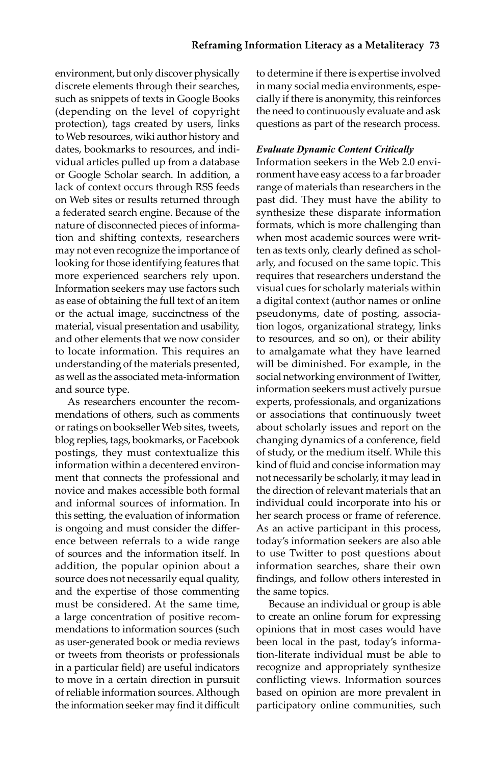environment, but only discover physically discrete elements through their searches, such as snippets of texts in Google Books (depending on the level of copyright protection), tags created by users, links to Web resources, wiki author history and dates, bookmarks to resources, and individual articles pulled up from a database or Google Scholar search. In addition, a lack of context occurs through RSS feeds on Web sites or results returned through a federated search engine. Because of the nature of disconnected pieces of information and shifting contexts, researchers may not even recognize the importance of looking for those identifying features that more experienced searchers rely upon. Information seekers may use factors such as ease of obtaining the full text of an item or the actual image, succinctness of the material, visual presentation and usability, and other elements that we now consider to locate information. This requires an understanding of the materials presented, as well as the associated meta-information and source type.

As researchers encounter the recommendations of others, such as comments or ratings on bookseller Web sites, tweets, blog replies, tags, bookmarks, or Facebook postings, they must contextualize this information within a decentered environment that connects the professional and novice and makes accessible both formal and informal sources of information. In this setting, the evaluation of information is ongoing and must consider the difference between referrals to a wide range of sources and the information itself. In addition, the popular opinion about a source does not necessarily equal quality, and the expertise of those commenting must be considered. At the same time, a large concentration of positive recommendations to information sources (such as user-generated book or media reviews or tweets from theorists or professionals in a particular field) are useful indicators to move in a certain direction in pursuit of reliable information sources. Although the information seeker may find it difficult

to determine if there is expertise involved in many social media environments, especially if there is anonymity, this reinforces the need to continuously evaluate and ask questions as part of the research process.

# *Evaluate Dynamic Content Critically*

Information seekers in the Web 2.0 environment have easy access to a far broader range of materials than researchers in the past did. They must have the ability to synthesize these disparate information formats, which is more challenging than when most academic sources were written as texts only, clearly defined as scholarly, and focused on the same topic. This requires that researchers understand the visual cues for scholarly materials within a digital context (author names or online pseudonyms, date of posting, association logos, organizational strategy, links to resources, and so on), or their ability to amalgamate what they have learned will be diminished. For example, in the social networking environment of Twitter, information seekers must actively pursue experts, professionals, and organizations or associations that continuously tweet about scholarly issues and report on the changing dynamics of a conference, field of study, or the medium itself. While this kind of fluid and concise information may not necessarily be scholarly, it may lead in the direction of relevant materials that an individual could incorporate into his or her search process or frame of reference. As an active participant in this process, today's information seekers are also able to use Twitter to post questions about information searches, share their own findings, and follow others interested in the same topics.

Because an individual or group is able to create an online forum for expressing opinions that in most cases would have been local in the past, today's information-literate individual must be able to recognize and appropriately synthesize conflicting views. Information sources based on opinion are more prevalent in participatory online communities, such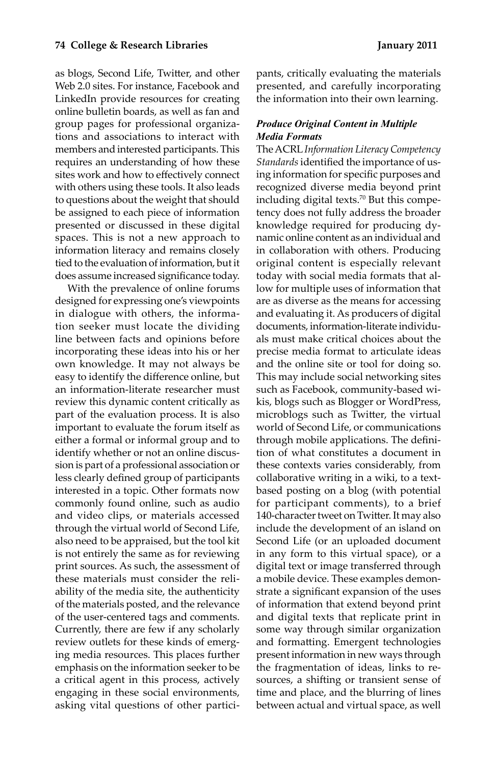as blogs, Second Life, Twitter, and other Web 2.0 sites. For instance, Facebook and LinkedIn provide resources for creating online bulletin boards, as well as fan and group pages for professional organizations and associations to interact with members and interested participants. This requires an understanding of how these sites work and how to effectively connect with others using these tools. It also leads to questions about the weight that should be assigned to each piece of information presented or discussed in these digital spaces. This is not a new approach to information literacy and remains closely tied to the evaluation of information, but it does assume increased significance today.

With the prevalence of online forums designed for expressing one's viewpoints in dialogue with others, the information seeker must locate the dividing line between facts and opinions before incorporating these ideas into his or her own knowledge. It may not always be easy to identify the difference online, but an information-literate researcher must review this dynamic content critically as part of the evaluation process. It is also important to evaluate the forum itself as either a formal or informal group and to identify whether or not an online discussion is part of a professional association or less clearly defined group of participants interested in a topic. Other formats now commonly found online, such as audio and video clips, or materials accessed through the virtual world of Second Life, also need to be appraised, but the tool kit is not entirely the same as for reviewing print sources. As such, the assessment of these materials must consider the reliability of the media site, the authenticity of the materials posted, and the relevance of the user-centered tags and comments. Currently, there are few if any scholarly review outlets for these kinds of emerging media resources. This places further emphasis on the information seeker to be a critical agent in this process, actively engaging in these social environments, asking vital questions of other participants, critically evaluating the materials presented, and carefully incorporating the information into their own learning.

### *Produce Original Content in Multiple Media Formats*

The ACRL *Information Literacy Competency Standards* identified the importance of using information for specific purposes and recognized diverse media beyond print including digital texts. $70$  But this competency does not fully address the broader knowledge required for producing dynamic online content as an individual and in collaboration with others. Producing original content is especially relevant today with social media formats that allow for multiple uses of information that are as diverse as the means for accessing and evaluating it. As producers of digital documents, information-literate individuals must make critical choices about the precise media format to articulate ideas and the online site or tool for doing so. This may include social networking sites such as Facebook, community-based wikis, blogs such as Blogger or WordPress, microblogs such as Twitter, the virtual world of Second Life, or communications through mobile applications. The definition of what constitutes a document in these contexts varies considerably, from collaborative writing in a wiki, to a textbased posting on a blog (with potential for participant comments), to a brief 140-character tweet on Twitter. It may also include the development of an island on Second Life (or an uploaded document in any form to this virtual space), or a digital text or image transferred through a mobile device. These examples demonstrate a significant expansion of the uses of information that extend beyond print and digital texts that replicate print in some way through similar organization and formatting. Emergent technologies present information in new ways through the fragmentation of ideas, links to resources, a shifting or transient sense of time and place, and the blurring of lines between actual and virtual space, as well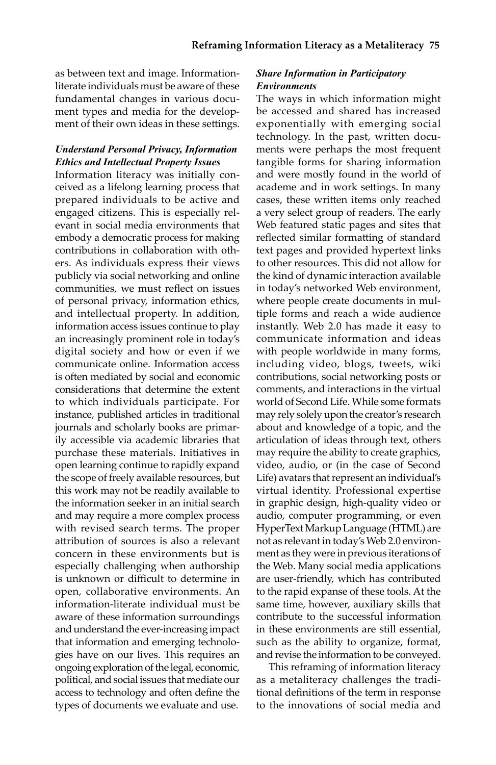as between text and image. Informationliterate individuals must be aware of these fundamental changes in various document types and media for the development of their own ideas in these settings.

# *Understand Personal Privacy, Information Ethics and Intellectual Property Issues*

Information literacy was initially conceived as a lifelong learning process that prepared individuals to be active and engaged citizens. This is especially relevant in social media environments that embody a democratic process for making contributions in collaboration with others. As individuals express their views publicly via social networking and online communities, we must reflect on issues of personal privacy, information ethics, and intellectual property. In addition, information access issues continue to play an increasingly prominent role in today's digital society and how or even if we communicate online. Information access is often mediated by social and economic considerations that determine the extent to which individuals participate. For instance, published articles in traditional journals and scholarly books are primarily accessible via academic libraries that purchase these materials. Initiatives in open learning continue to rapidly expand the scope of freely available resources, but this work may not be readily available to the information seeker in an initial search and may require a more complex process with revised search terms. The proper attribution of sources is also a relevant concern in these environments but is especially challenging when authorship is unknown or difficult to determine in open, collaborative environments. An information-literate individual must be aware of these information surroundings and understand the ever-increasing impact that information and emerging technologies have on our lives. This requires an ongoing exploration of the legal, economic, political, and social issues that mediate our access to technology and often define the types of documents we evaluate and use.

# *Share Information in Participatory Environments*

The ways in which information might be accessed and shared has increased exponentially with emerging social technology. In the past, written documents were perhaps the most frequent tangible forms for sharing information and were mostly found in the world of academe and in work settings. In many cases, these written items only reached a very select group of readers. The early Web featured static pages and sites that reflected similar formatting of standard text pages and provided hypertext links to other resources. This did not allow for the kind of dynamic interaction available in today's networked Web environment, where people create documents in multiple forms and reach a wide audience instantly. Web 2.0 has made it easy to communicate information and ideas with people worldwide in many forms, including video, blogs, tweets, wiki contributions, social networking posts or comments, and interactions in the virtual world of Second Life. While some formats may rely solely upon the creator's research about and knowledge of a topic, and the articulation of ideas through text, others may require the ability to create graphics, video, audio, or (in the case of Second Life) avatars that represent an individual's virtual identity. Professional expertise in graphic design, high-quality video or audio, computer programming, or even HyperText Markup Language (HTML) are not as relevant in today's Web 2.0 environment as they were in previous iterations of the Web. Many social media applications are user-friendly, which has contributed to the rapid expanse of these tools. At the same time, however, auxiliary skills that contribute to the successful information in these environments are still essential, such as the ability to organize, format, and revise the information to be conveyed.

This reframing of information literacy as a metaliteracy challenges the traditional definitions of the term in response to the innovations of social media and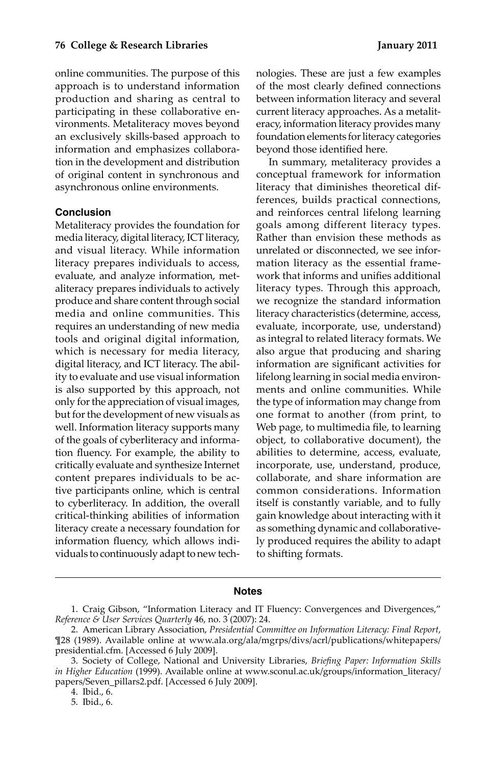online communities. The purpose of this approach is to understand information production and sharing as central to participating in these collaborative environments. Metaliteracy moves beyond an exclusively skills-based approach to information and emphasizes collaboration in the development and distribution of original content in synchronous and asynchronous online environments.

### **Conclusion**

Metaliteracy provides the foundation for media literacy, digital literacy, ICT literacy, and visual literacy. While information literacy prepares individuals to access, evaluate, and analyze information, metaliteracy prepares individuals to actively produce and share content through social media and online communities. This requires an understanding of new media tools and original digital information, which is necessary for media literacy, digital literacy, and ICT literacy. The ability to evaluate and use visual information is also supported by this approach, not only for the appreciation of visual images, but for the development of new visuals as well. Information literacy supports many of the goals of cyberliteracy and information fluency. For example, the ability to critically evaluate and synthesize Internet content prepares individuals to be active participants online, which is central to cyberliteracy. In addition, the overall critical-thinking abilities of information literacy create a necessary foundation for information fluency, which allows individuals to continuously adapt to new technologies. These are just a few examples of the most clearly defined connections between information literacy and several current literacy approaches. As a metaliteracy, information literacy provides many foundation elements for literacy categories beyond those identified here.

In summary, metaliteracy provides a conceptual framework for information literacy that diminishes theoretical differences, builds practical connections, and reinforces central lifelong learning goals among different literacy types. Rather than envision these methods as unrelated or disconnected, we see information literacy as the essential framework that informs and unifies additional literacy types. Through this approach, we recognize the standard information literacy characteristics (determine, access, evaluate, incorporate, use, understand) as integral to related literacy formats. We also argue that producing and sharing information are significant activities for lifelong learning in social media environments and online communities. While the type of information may change from one format to another (from print, to Web page, to multimedia file, to learning object, to collaborative document), the abilities to determine, access, evaluate, incorporate, use, understand, produce, collaborate, and share information are common considerations. Information itself is constantly variable, and to fully gain knowledge about interacting with it as something dynamic and collaboratively produced requires the ability to adapt to shifting formats.

#### **Notes**

4. Ibid., 6.

5. Ibid., 6.

 <sup>1.</sup> Craig Gibson, "Information Literacy and IT Fluency: Convergences and Divergences," *Reference & User Services Quarterly* 46, no. 3 (2007): 24.

 <sup>2.</sup> American Library Association, *Presidential Committee on Information Literacy: Final Report*, ¶28 (1989). Available online at www.ala.org/ala/mgrps/divs/acrl/publications/whitepapers/ presidential.cfm. [Accessed 6 July 2009].

 <sup>3.</sup> Society of College, National and University Libraries, *Briefing Paper: Information Skills in Higher Education* (1999). Available online at www.sconul.ac.uk/groups/information\_literacy/ papers/Seven\_pillars2.pdf. [Accessed 6 July 2009].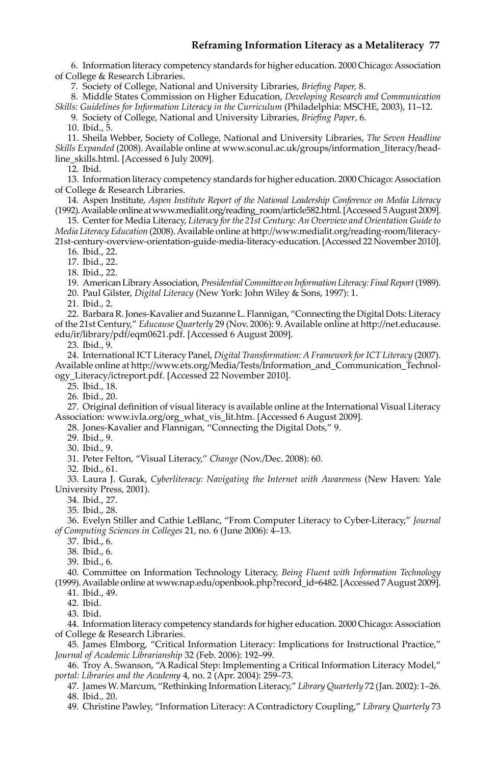#### **Reframing Information Literacy as a Metaliteracy  77**

 6. Information literacy competency standards for higher education. 2000 Chicago: Association of College & Research Libraries.

7. Society of College, National and University Libraries, *Briefing Paper,* 8.

 8. Middle States Commission on Higher Education, *Developing Research and Communication Skills: Guidelines for Information Literacy in the Curriculum* (Philadelphia: MSCHE, 2003), 11–12.

9. Society of College, National and University Libraries, *Briefing Paper*, 6.

10. Ibid., 5.

11. Sheila Webber, Society of College, National and University Libraries, *The Seven Headline Skills Expanded* (2008). Available online at www.sconul.ac.uk/groups/information\_literacy/headline\_skills.html. [Accessed 6 July 2009].

12. Ibid.

13. Information literacy competency standards for higher education. 2000 Chicago: Association of College & Research Libraries.

14. Aspen Institute, *Aspen Institute Report of the National Leadership Conference on Media Literacy* (1992). Available online at www.medialit.org/reading\_room/article582.html. [Accessed 5 August 2009].

15. Center for Media Literacy, *Literacy for the 21st Century: An Overview and Orientation Guide to Media Literacy Education* (2008). Available online at http://www.medialit.org/reading-room/literacy-21st-century-overview-orientation-guide-media-literacy-education. [Accessed 22 November 2010].

16. Ibid., 22.

17. Ibid., 22.

18. Ibid., 22.

19. American Library Association, *Presidential Committee on Information Literacy: Final Report* (1989).

20. Paul Gilster, *Digital Literacy* (New York: John Wiley & Sons, 1997): 1.

21. Ibid., 2.

22. Barbara R. Jones-Kavalier and Suzanne L. Flannigan, "Connecting the Digital Dots: Literacy of the 21st Century," *Educause Quarterly* 29 (Nov. 2006): 9. Available online at http://net.educause. edu/ir/library/pdf/eqm0621.pdf. [Accessed 6 August 2009].

23. Ibid., 9.

24. International ICT Literacy Panel, *Digital Transformation: A Framework for ICT Literacy* (2007). Available online at http://www.ets.org/Media/Tests/Information\_and\_Communication\_Technology\_Literacy/ictreport.pdf. [Accessed 22 November 2010].

25. Ibid., 18.

26. Ibid., 20.

27. Original definition of visual literacy is available online at the International Visual Literacy Association: www.ivla.org/org\_what\_vis\_lit.htm. [Accessed 6 August 2009].

28. Jones-Kavalier and Flannigan, "Connecting the Digital Dots," 9.

29. Ibid., 9.

30. Ibid., 9.

31. Peter Felton, "Visual Literacy," *Change* (Nov./Dec. 2008): 60.

32. Ibid., 61.

33. Laura J. Gurak, *Cyberliteracy: Navigating the Internet with Awareness* (New Haven: Yale University Press, 2001).

34. Ibid., 27.

35. Ibid., 28.

36. Evelyn Stiller and Cathie LeBlanc, "From Computer Literacy to Cyber-Literacy," *Journal of Computing Sciences in Colleges* 21, no. 6 (June 2006): 4–13.

37. Ibid., 6.

38. Ibid., 6.

39. Ibid., 6.

40. Committee on Information Technology Literacy, *Being Fluent with Information Technology* (1999). Available online at www.nap.edu/openbook.php?record\_id=6482. [Accessed 7 August 2009].

41. Ibid., 49.

42. Ibid.

43. Ibid.

44. Information literacy competency standards for higher education. 2000 Chicago: Association of College & Research Libraries.

45. James Elmborg, "Critical Information Literacy: Implications for Instructional Practice," *Journal of Academic Librarianship* 32 (Feb. 2006): 192–99.

46. Troy A. Swanson, "A Radical Step: Implementing a Critical Information Literacy Model," *portal: Libraries and the Academy* 4, no. 2 (Apr. 2004): 259–73.

47. James W. Marcum, "Rethinking Information Literacy," *Library Quarterly* 72 (Jan. 2002): 1–26. 48. Ibid., 20.

49. Christine Pawley, "Information Literacy: A Contradictory Coupling," *Library Quarterly* 73